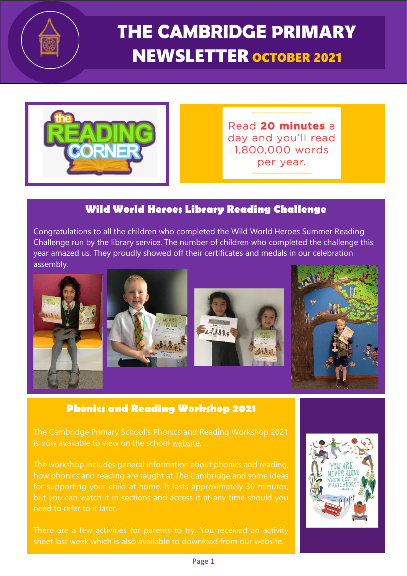

**THE CAMBRIDGE P**RIMARY NEWSLETTER OCTOBER <sup>2021</sup>



Read 20 minutes a day and you'll read 1,800,000 words per vear.

### **Wild World Heroes Library Reading Challenge**

Congratulations to all the children who completed the Wild World Heroes Summer Reading Challenge run by the library service. The number of children who completed the challenge this year amazed us. They proudly showed off their certificates and medals in our celebration assembly.



### **Phonics and Reading Workshop 2021**

The Cambridge Primary School's Phonics and Reading Workshop 2021 is now available to view on the school [website.](https://www.cambridgeschool.hants.sch.uk/page/?title=Phonics+and+Reading+Workshop+2021&pid=1086)

The workshop includes general information about phonics and reading, how phonics and reading are taught at The Cambridge and some ideas for supporting your child at home. It lasts approximately 30 minutes, but you can watch it in sections and access it at any time should you need to refer to it later.

There are a few activities for parents to try. You received an activity sheet last week which is also available to download from our [website.](https://www.cambridgeschool.hants.sch.uk/attachments/download.asp?file=1425&type=pdf)